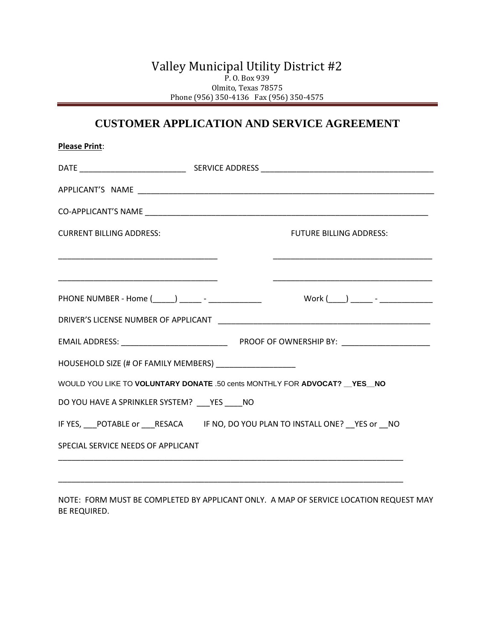## Valley Municipal Utility District #2 P. O. Box 939 Olmito, Texas 78575 Phone (956) 350-4136 Fax (956) 350-4575

# **CUSTOMER APPLICATION AND SERVICE AGREEMENT**

| <b>Please Print:</b>            |                                                            |  |  |  |                                                                                              |  |
|---------------------------------|------------------------------------------------------------|--|--|--|----------------------------------------------------------------------------------------------|--|
|                                 |                                                            |  |  |  |                                                                                              |  |
|                                 |                                                            |  |  |  |                                                                                              |  |
|                                 |                                                            |  |  |  |                                                                                              |  |
| <b>CURRENT BILLING ADDRESS:</b> |                                                            |  |  |  | <b>FUTURE BILLING ADDRESS:</b>                                                               |  |
|                                 |                                                            |  |  |  |                                                                                              |  |
|                                 |                                                            |  |  |  |                                                                                              |  |
|                                 |                                                            |  |  |  | PHONE NUMBER - Home (_____) ______ - _________________    Work (____) ______ - _____________ |  |
|                                 |                                                            |  |  |  |                                                                                              |  |
|                                 |                                                            |  |  |  |                                                                                              |  |
|                                 | HOUSEHOLD SIZE (# OF FAMILY MEMBERS) _____________________ |  |  |  |                                                                                              |  |
|                                 |                                                            |  |  |  | WOULD YOU LIKE TO VOLUNTARY DONATE .50 cents MONTHLY FOR ADVOCAT? YES NO                     |  |
|                                 | DO YOU HAVE A SPRINKLER SYSTEM? ___ YES ____ NO            |  |  |  |                                                                                              |  |
|                                 |                                                            |  |  |  | IF YES, POTABLE or RESACA IF NO, DO YOU PLAN TO INSTALL ONE? YES or NO                       |  |
|                                 | SPECIAL SERVICE NEEDS OF APPLICANT                         |  |  |  |                                                                                              |  |
|                                 |                                                            |  |  |  |                                                                                              |  |
|                                 |                                                            |  |  |  |                                                                                              |  |

NOTE: FORM MUST BE COMPLETED BY APPLICANT ONLY. A MAP OF SERVICE LOCATION REQUEST MAY BE REQUIRED.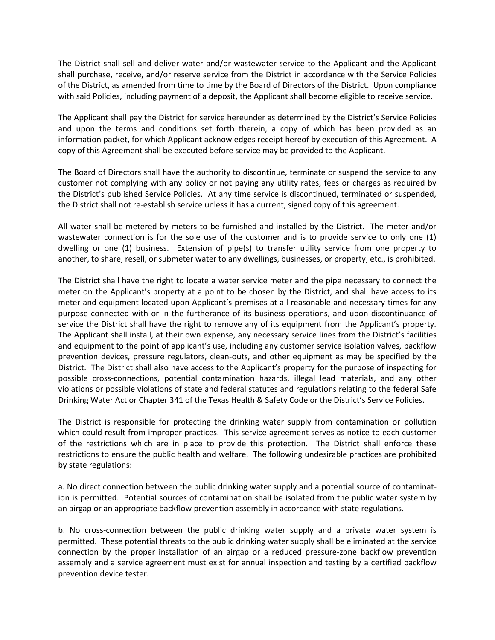The District shall sell and deliver water and/or wastewater service to the Applicant and the Applicant shall purchase, receive, and/or reserve service from the District in accordance with the Service Policies of the District, as amended from time to time by the Board of Directors of the District. Upon compliance with said Policies, including payment of a deposit, the Applicant shall become eligible to receive service.

The Applicant shall pay the District for service hereunder as determined by the District's Service Policies and upon the terms and conditions set forth therein, a copy of which has been provided as an information packet, for which Applicant acknowledges receipt hereof by execution of this Agreement. A copy of this Agreement shall be executed before service may be provided to the Applicant.

The Board of Directors shall have the authority to discontinue, terminate or suspend the service to any customer not complying with any policy or not paying any utility rates, fees or charges as required by the District's published Service Policies. At any time service is discontinued, terminated or suspended, the District shall not re-establish service unless it has a current, signed copy of this agreement.

All water shall be metered by meters to be furnished and installed by the District. The meter and/or wastewater connection is for the sole use of the customer and is to provide service to only one (1) dwelling or one (1) business. Extension of pipe(s) to transfer utility service from one property to another, to share, resell, or submeter water to any dwellings, businesses, or property, etc., is prohibited.

The District shall have the right to locate a water service meter and the pipe necessary to connect the meter on the Applicant's property at a point to be chosen by the District, and shall have access to its meter and equipment located upon Applicant's premises at all reasonable and necessary times for any purpose connected with or in the furtherance of its business operations, and upon discontinuance of service the District shall have the right to remove any of its equipment from the Applicant's property. The Applicant shall install, at their own expense, any necessary service lines from the District's facilities and equipment to the point of applicant's use, including any customer service isolation valves, backflow prevention devices, pressure regulators, clean-outs, and other equipment as may be specified by the District. The District shall also have access to the Applicant's property for the purpose of inspecting for possible cross-connections, potential contamination hazards, illegal lead materials, and any other violations or possible violations of state and federal statutes and regulations relating to the federal Safe Drinking Water Act or Chapter 341 of the Texas Health & Safety Code or the District's Service Policies.

The District is responsible for protecting the drinking water supply from contamination or pollution which could result from improper practices. This service agreement serves as notice to each customer of the restrictions which are in place to provide this protection. The District shall enforce these restrictions to ensure the public health and welfare. The following undesirable practices are prohibited by state regulations:

a. No direct connection between the public drinking water supply and a potential source of contamination is permitted. Potential sources of contamination shall be isolated from the public water system by an airgap or an appropriate backflow prevention assembly in accordance with state regulations.

b. No cross-connection between the public drinking water supply and a private water system is permitted. These potential threats to the public drinking water supply shall be eliminated at the service connection by the proper installation of an airgap or a reduced pressure-zone backflow prevention assembly and a service agreement must exist for annual inspection and testing by a certified backflow prevention device tester.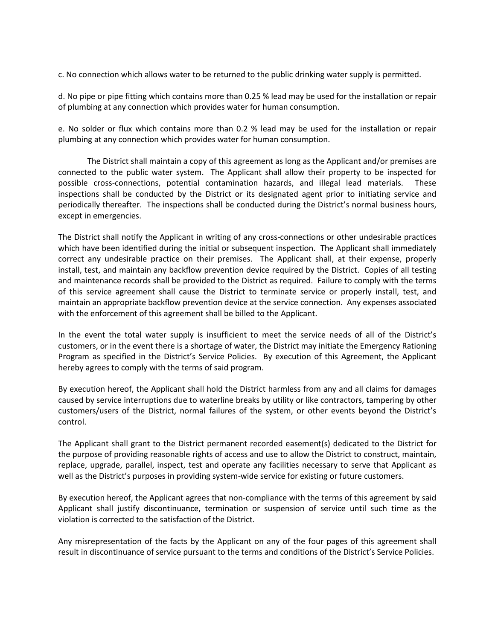c. No connection which allows water to be returned to the public drinking water supply is permitted.

d. No pipe or pipe fitting which contains more than 0.25 % lead may be used for the installation or repair of plumbing at any connection which provides water for human consumption.

e. No solder or flux which contains more than 0.2 % lead may be used for the installation or repair plumbing at any connection which provides water for human consumption.

The District shall maintain a copy of this agreement as long as the Applicant and/or premises are connected to the public water system. The Applicant shall allow their property to be inspected for possible cross-connections, potential contamination hazards, and illegal lead materials. These inspections shall be conducted by the District or its designated agent prior to initiating service and periodically thereafter. The inspections shall be conducted during the District's normal business hours, except in emergencies.

The District shall notify the Applicant in writing of any cross-connections or other undesirable practices which have been identified during the initial or subsequent inspection. The Applicant shall immediately correct any undesirable practice on their premises. The Applicant shall, at their expense, properly install, test, and maintain any backflow prevention device required by the District. Copies of all testing and maintenance records shall be provided to the District as required. Failure to comply with the terms of this service agreement shall cause the District to terminate service or properly install, test, and maintain an appropriate backflow prevention device at the service connection. Any expenses associated with the enforcement of this agreement shall be billed to the Applicant.

In the event the total water supply is insufficient to meet the service needs of all of the District's customers, or in the event there is a shortage of water, the District may initiate the Emergency Rationing Program as specified in the District's Service Policies. By execution of this Agreement, the Applicant hereby agrees to comply with the terms of said program.

By execution hereof, the Applicant shall hold the District harmless from any and all claims for damages caused by service interruptions due to waterline breaks by utility or like contractors, tampering by other customers/users of the District, normal failures of the system, or other events beyond the District's control.

The Applicant shall grant to the District permanent recorded easement(s) dedicated to the District for the purpose of providing reasonable rights of access and use to allow the District to construct, maintain, replace, upgrade, parallel, inspect, test and operate any facilities necessary to serve that Applicant as well as the District's purposes in providing system-wide service for existing or future customers.

By execution hereof, the Applicant agrees that non-compliance with the terms of this agreement by said Applicant shall justify discontinuance, termination or suspension of service until such time as the violation is corrected to the satisfaction of the District.

Any misrepresentation of the facts by the Applicant on any of the four pages of this agreement shall result in discontinuance of service pursuant to the terms and conditions of the District's Service Policies.